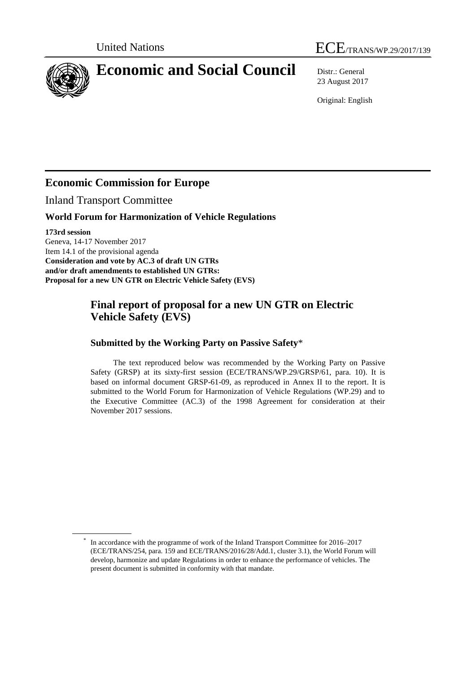



# **Economic and Social Council** Distr.: General

23 August 2017

Original: English

## **Economic Commission for Europe**

Inland Transport Committee

#### **World Forum for Harmonization of Vehicle Regulations**

**173rd session** Geneva, 14-17 November 2017 Item 14.1 of the provisional agenda **Consideration and vote by AC.3 of draft UN GTRs and/or draft amendments to established UN GTRs: Proposal for a new UN GTR on Electric Vehicle Safety (EVS)**

### **Final report of proposal for a new UN GTR on Electric Vehicle Safety (EVS)**

#### **Submitted by the Working Party on Passive Safety**\*

The text reproduced below was recommended by the Working Party on Passive Safety (GRSP) at its sixty-first session (ECE/TRANS/WP.29/GRSP/61, para. 10). It is based on informal document GRSP-61-09, as reproduced in Annex II to the report. It is submitted to the World Forum for Harmonization of Vehicle Regulations (WP.29) and to the Executive Committee (AC.3) of the 1998 Agreement for consideration at their November 2017 sessions.

<sup>\*</sup> In accordance with the programme of work of the Inland Transport Committee for 2016–2017 (ECE/TRANS/254, para. 159 and ECE/TRANS/2016/28/Add.1, cluster 3.1), the World Forum will develop, harmonize and update Regulations in order to enhance the performance of vehicles. The present document is submitted in conformity with that mandate.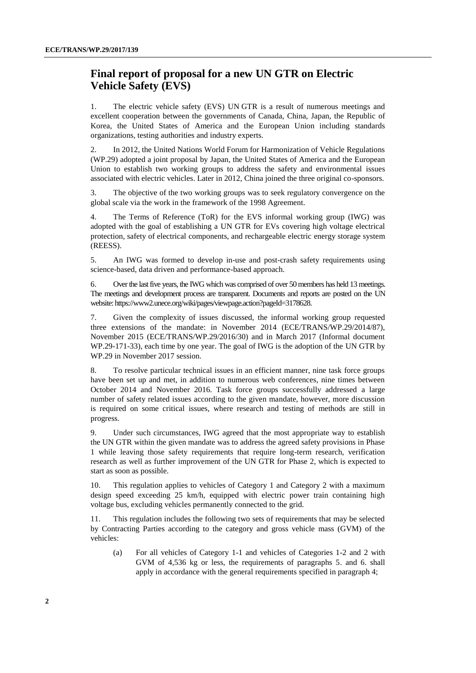#### **Final report of proposal for a new UN GTR on Electric Vehicle Safety (EVS)**

1. The electric vehicle safety (EVS) UN GTR is a result of numerous meetings and excellent cooperation between the governments of Canada, China, Japan, the Republic of Korea, the United States of America and the European Union including standards organizations, testing authorities and industry experts.

2. In 2012, the United Nations World Forum for Harmonization of Vehicle Regulations (WP.29) adopted a joint proposal by Japan, the United States of America and the European Union to establish two working groups to address the safety and environmental issues associated with electric vehicles. Later in 2012, China joined the three original co-sponsors.

3. The objective of the two working groups was to seek regulatory convergence on the global scale via the work in the framework of the 1998 Agreement.

4. The Terms of Reference (ToR) for the EVS informal working group (IWG) was adopted with the goal of establishing a UN GTR for EVs covering high voltage electrical protection, safety of electrical components, and rechargeable electric energy storage system (REESS).

5. An IWG was formed to develop in-use and post-crash safety requirements using science-based, data driven and performance-based approach.

6. Over the last five years, the IWG which was comprised of over 50 members has held 13 meetings. The meetings and development process are transparent. Documents and reports are posted on the UN website: https://www2.unece.org/wiki/pages/viewpage.action?pageId=3178628.

7. Given the complexity of issues discussed, the informal working group requested three extensions of the mandate: in November 2014 (ECE/TRANS/WP.29/2014/87), November 2015 (ECE/TRANS/WP.29/2016/30) and in March 2017 (Informal document WP.29-171-33), each time by one year. The goal of IWG is the adoption of the UN GTR by WP.29 in November 2017 session.

8. To resolve particular technical issues in an efficient manner, nine task force groups have been set up and met, in addition to numerous web conferences, nine times between October 2014 and November 2016. Task force groups successfully addressed a large number of safety related issues according to the given mandate, however, more discussion is required on some critical issues, where research and testing of methods are still in progress.

9. Under such circumstances, IWG agreed that the most appropriate way to establish the UN GTR within the given mandate was to address the agreed safety provisions in Phase 1 while leaving those safety requirements that require long-term research, verification research as well as further improvement of the UN GTR for Phase 2, which is expected to start as soon as possible.

10. This regulation applies to vehicles of Category 1 and Category 2 with a maximum design speed exceeding 25 km/h, equipped with electric power train containing high voltage bus, excluding vehicles permanently connected to the grid.

11. This regulation includes the following two sets of requirements that may be selected by Contracting Parties according to the category and gross vehicle mass (GVM) of the vehicles:

(a) For all vehicles of Category 1-1 and vehicles of Categories 1-2 and 2 with GVM of 4,536 kg or less, the requirements of paragraphs 5. and 6. shall apply in accordance with the general requirements specified in paragraph 4;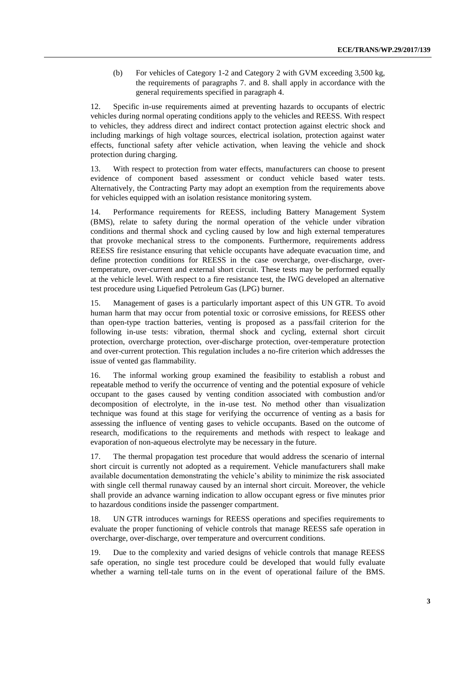(b) For vehicles of Category 1-2 and Category 2 with GVM exceeding 3,500 kg, the requirements of paragraphs 7. and 8. shall apply in accordance with the general requirements specified in paragraph 4.

12. Specific in-use requirements aimed at preventing hazards to occupants of electric vehicles during normal operating conditions apply to the vehicles and REESS. With respect to vehicles, they address direct and indirect contact protection against electric shock and including markings of high voltage sources, electrical isolation, protection against water effects, functional safety after vehicle activation, when leaving the vehicle and shock protection during charging.

13. With respect to protection from water effects, manufacturers can choose to present evidence of component based assessment or conduct vehicle based water tests. Alternatively, the Contracting Party may adopt an exemption from the requirements above for vehicles equipped with an isolation resistance monitoring system.

14. Performance requirements for REESS, including Battery Management System (BMS), relate to safety during the normal operation of the vehicle under vibration conditions and thermal shock and cycling caused by low and high external temperatures that provoke mechanical stress to the components. Furthermore, requirements address REESS fire resistance ensuring that vehicle occupants have adequate evacuation time, and define protection conditions for REESS in the case overcharge, over-discharge, overtemperature, over-current and external short circuit. These tests may be performed equally at the vehicle level. With respect to a fire resistance test, the IWG developed an alternative test procedure using Liquefied Petroleum Gas (LPG) burner.

15. Management of gases is a particularly important aspect of this UN GTR. To avoid human harm that may occur from potential toxic or corrosive emissions, for REESS other than open-type traction batteries, venting is proposed as a pass/fail criterion for the following in-use tests: vibration, thermal shock and cycling, external short circuit protection, overcharge protection, over-discharge protection, over-temperature protection and over-current protection. This regulation includes a no-fire criterion which addresses the issue of vented gas flammability.

16. The informal working group examined the feasibility to establish a robust and repeatable method to verify the occurrence of venting and the potential exposure of vehicle occupant to the gases caused by venting condition associated with combustion and/or decomposition of electrolyte, in the in-use test. No method other than visualization technique was found at this stage for verifying the occurrence of venting as a basis for assessing the influence of venting gases to vehicle occupants. Based on the outcome of research, modifications to the requirements and methods with respect to leakage and evaporation of non-aqueous electrolyte may be necessary in the future.

17. The thermal propagation test procedure that would address the scenario of internal short circuit is currently not adopted as a requirement. Vehicle manufacturers shall make available documentation demonstrating the vehicle's ability to minimize the risk associated with single cell thermal runaway caused by an internal short circuit. Moreover, the vehicle shall provide an advance warning indication to allow occupant egress or five minutes prior to hazardous conditions inside the passenger compartment.

18. UN GTR introduces warnings for REESS operations and specifies requirements to evaluate the proper functioning of vehicle controls that manage REESS safe operation in overcharge, over-discharge, over temperature and overcurrent conditions.

19. Due to the complexity and varied designs of vehicle controls that manage REESS safe operation, no single test procedure could be developed that would fully evaluate whether a warning tell-tale turns on in the event of operational failure of the BMS.